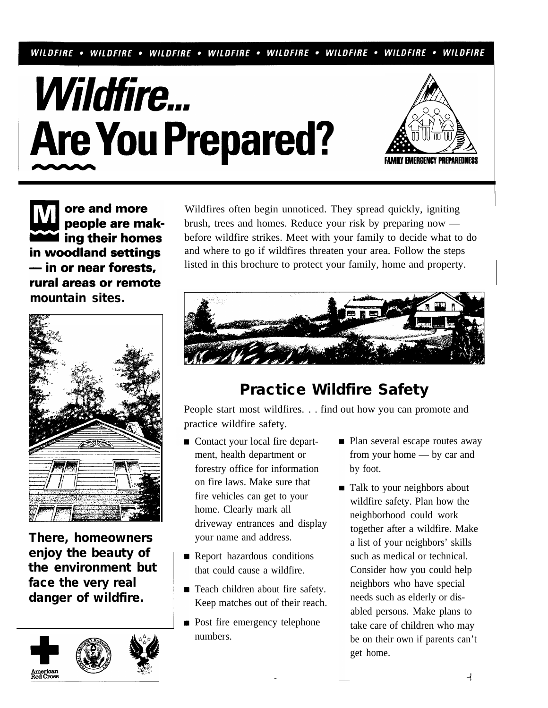WILDFIRE • WILDFIRE • WILDFIRE • WILDFIRE • WILDFIRE • WILDFIRE • WILDFIRE • WILDFIRE





ore and more people are mak-I ing their homes in woodland settings - in or near forests, rural areas or remote **mountain sites.** 



**There, homeowners enjoy the beauty of the environment but face the very real danger of wildfire.** 



Wildfires often begin unnoticed. They spread quickly, igniting brush, trees and homes. Reduce your risk by preparing now before wildfire strikes. Meet with your family to decide what to do and where to go if wildfires threaten your area. Follow the steps listed in this brochure to protect your family, home and property.



# **Practice Wildfire Safety**

People start most wildfires. . . find out how you can promote and practice wildfire safetv.

- Contact your local fire department, health department or forestry office for information on fire laws. Make sure that fire vehicles can get to your home. Clearly mark all driveway entrances and display your name and address.
- **Report hazardous conditions** that could cause a wildfire.
- Teach children about fire safety. Keep matches out of their reach.
- **Post fire emergency telephone** numbers.
- **Plan several escape routes away** from your home — by car and by foot.
- Talk to your neighbors about wildfire safety. Plan how the neighborhood could work together after a wildfire. Make a list of your neighbors' skills such as medical or technical. Consider how you could help neighbors who have special needs such as elderly or disabled persons. Make plans to take care of children who may be on their own if parents can't get home.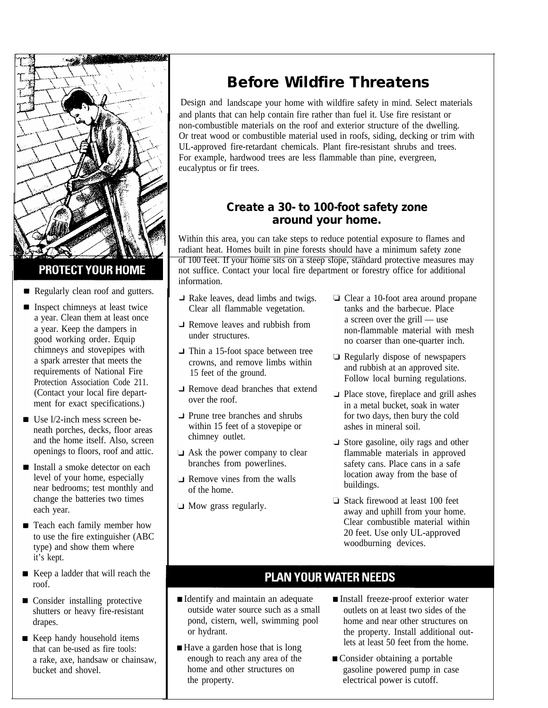

## **PROTECT YOUR HOME**

- Regularly clean roof and gutters.
- **Inspect chimneys at least twice** a year. Clean them at least once a year. Keep the dampers in good working order. Equip chimneys and stovepipes with a spark arrester that meets the requirements of National Fire Protection Association Code 211. (Contact your local fire department for exact specifications.)
- $\blacksquare$  Use  $1/2$ -inch mess screen beneath porches, decks, floor areas and the home itself. Also, screen openings to floors, roof and attic.
- Install a smoke detector on each level of your home, especially near bedrooms; test monthly and change the batteries two times each year.
- **Teach each family member how** to use the fire extinguisher (ABC type) and show them where it's kept.
- Keep a ladder that will reach the roof.
- **Consider installing protective** shutters or heavy fire-resistant drapes.
- Keep handy household items that can be-used as fire tools: a rake, axe, handsaw or chainsaw, bucket and shovel.

# **Before Wildfire Threatens**

Design and landscape your home with wildfire safety in mind. Select materials and plants that can help contain fire rather than fuel it. Use fire resistant or non-combustible materials on the roof and exterior structure of the dwelling. Or treat wood or combustible material used in roofs, siding, decking or trim with UL-approved fire-retardant chemicals. Plant fire-resistant shrubs and trees. For example, hardwood trees are less flammable than pine, evergreen, eucalyptus or fir trees.

## **Create a 30- to 100-foot safety zone around your home.**

Within this area, you can take steps to reduce potential exposure to flames and radiant heat. Homes built in pine forests should have a minimum safety zone of 100 feet. If your home sits on a steep slope, standard protective measures may not suffice. Contact your local fire department or forestry office for additional information.

- Rake leaves, dead limbs and twigs. Clear all flammable vegetation.
- **Remove leaves and rubbish from** under structures.
- **Thin a 15-foot space between tree** crowns, and remove limbs within 15 feet of the ground.
- Remove dead branches that extend over the roof.
- **Prune tree branches and shrubs** within 15 feet of a stovepipe or chimney outlet.
- Ask the power company to clear branches from powerlines.
- **Remove vines from the walls** of the home.
- Mow grass regularly.
- □ Clear a 10-foot area around propane tanks and the barbecue. Place a screen over the grill — use non-flammable material with mesh no coarser than one-quarter inch.
- **Example 3** Regularly dispose of newspapers and rubbish at an approved site. Follow local burning regulations.
- **Place stove, fireplace and grill ashes** in a metal bucket, soak in water for two days, then bury the cold ashes in mineral soil.
- Store gasoline, oily rags and other flammable materials in approved safety cans. Place cans in a safe location away from the base of buildings.
- □ Stack firewood at least 100 feet away and uphill from your home. Clear combustible material within 20 feet. Use only UL-approved woodburning devices.

# **PLAN YOUR WATER NEEDS**

- Identify and maintain an adequate outside water source such as a small pond, cistern, well, swimming pool or hydrant.
- Have a garden hose that is long enough to reach any area of the home and other structures on the property.
- Install freeze-proof exterior water outlets on at least two sides of the home and near other structures on the property. Install additional outlets at least 50 feet from the home.
- Consider obtaining a portable gasoline powered pump in case electrical power is cutoff.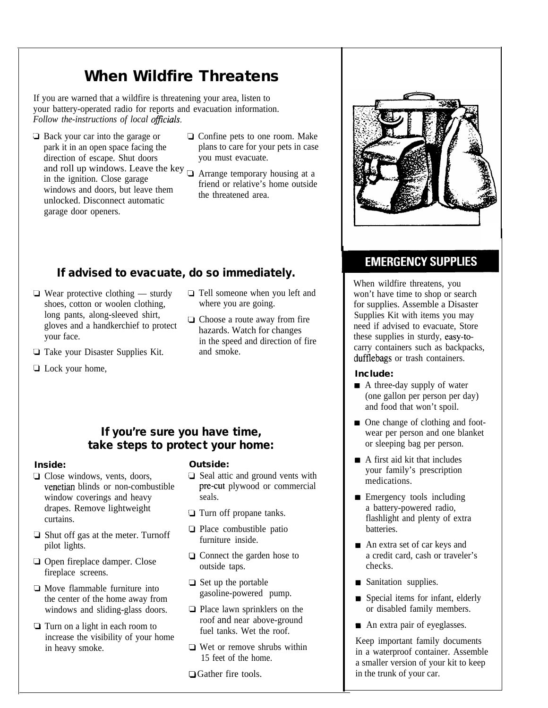# **When Wildfire Threatens**

If you are warned that a wildfire is threatening your area, listen to your battery-operated radio for reports and evacuation information. *Follow the-instructions of local* 

- **□** Back your car into the garage or park it in an open space facing the direction of escape. Shut doors and roll up windows. Leave the key  $\Box$  Arrange temporary housing at a in the ignition. Close garage windows and doors, but leave them unlocked. Disconnect automatic garage door openers.
- $\Box$  Confine pets to one room. Make plans to care for your pets in case you must evacuate.
	- friend or relative's home outside the threatened area.

# **If advised to evacuate, do so immediately.**

- $\Box$  Wear protective clothing sturdy shoes, cotton or woolen clothing, long pants, along-sleeved shirt, gloves and a handkerchief to protect your face.
- Take your Disaster Supplies Kit.
- **Q** Lock your home,
- Tell someone when you left and where you are going.
- **Q** Choose a route away from fire hazards. Watch for changes in the speed and direction of fire and smoke.

## **If you're sure you have time, take steps to protect your home:**

## **Inside:**

- Close windows, vents, doors, venetian blinds or non-combustible window coverings and heavy drapes. Remove lightweight curtains.
- $\Box$  Shut off gas at the meter. Turnoff pilot lights.
- **Open fireplace damper. Close** fireplace screens.
- $\Box$  Move flammable furniture into the center of the home away from windows and sliding-glass doors.
- **Turn** on a light in each room to increase the visibility of your home in heavy smoke.

## **Outside:**

- $\Box$  Seal attic and ground vents with pre-cut plywood or commercial seals.
- **Turn off propane tanks.**
- $\Box$  Place combustible patio furniture inside.
- **Q** Connect the garden hose to outside taps.
- $\Box$  Set up the portable gasoline-powered pump.
- $\Box$  Place lawn sprinklers on the roof and near above-ground fuel tanks. Wet the roof.
- □ Wet or remove shrubs within 15 feet of the home.
- **□**Gather fire tools.

# **EMERGENCY SUPPLIES**

When wildfire threatens, you won't have time to shop or search for supplies. Assemble a Disaster Supplies Kit with items you may need if advised to evacuate, Store these supplies in sturdy, carry containers such as backpacks, dufflebags or trash containers.

## **Include:**

- A three-day supply of water (one gallon per person per day) and food that won't spoil.
- One change of clothing and footwear per person and one blanket or sleeping bag per person.
- A first aid kit that includes your family's prescription medications.
- **Emergency tools including** a battery-powered radio, flashlight and plenty of extra batteries.
- An extra set of car keys and a credit card, cash or traveler's checks.
- Sanitation supplies.
- Special items for infant, elderly or disabled family members.
- An extra pair of eyeglasses.

Keep important family documents in a waterproof container. Assemble a smaller version of your kit to keep in the trunk of your car.